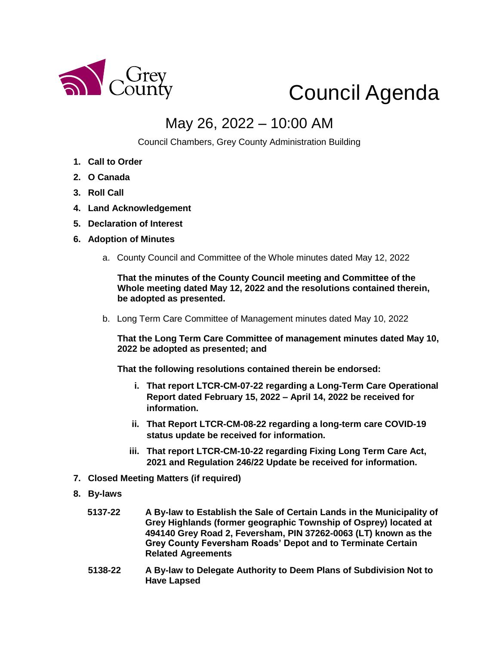

## Council Agenda

## May 26, 2022 – 10:00 AM

Council Chambers, Grey County Administration Building

- **1. Call to Order**
- **2. O Canada**
- **3. Roll Call**
- **4. Land Acknowledgement**
- **5. Declaration of Interest**
- **6. Adoption of Minutes** 
	- a. County Council and Committee of the Whole minutes dated May 12, 2022

**That the minutes of the County Council meeting and Committee of the Whole meeting dated May 12, 2022 and the resolutions contained therein, be adopted as presented.** 

b. Long Term Care Committee of Management minutes dated May 10, 2022

**That the Long Term Care Committee of management minutes dated May 10, 2022 be adopted as presented; and**

**That the following resolutions contained therein be endorsed:**

- **i. That report LTCR-CM-07-22 regarding a Long-Term Care Operational Report dated February 15, 2022 – April 14, 2022 be received for information.**
- **ii. That Report LTCR-CM-08-22 regarding a long-term care COVID-19 status update be received for information.**
- **iii. That report LTCR-CM-10-22 regarding Fixing Long Term Care Act, 2021 and Regulation 246/22 Update be received for information.**
- **7. Closed Meeting Matters (if required)**
- **8. By-laws** 
	- **5137-22 A By-law to Establish the Sale of Certain Lands in the Municipality of Grey Highlands (former geographic Township of Osprey) located at 494140 Grey Road 2, Feversham, PIN 37262-0063 (LT) known as the Grey County Feversham Roads' Depot and to Terminate Certain Related Agreements**
	- **5138-22 A By-law to Delegate Authority to Deem Plans of Subdivision Not to Have Lapsed**